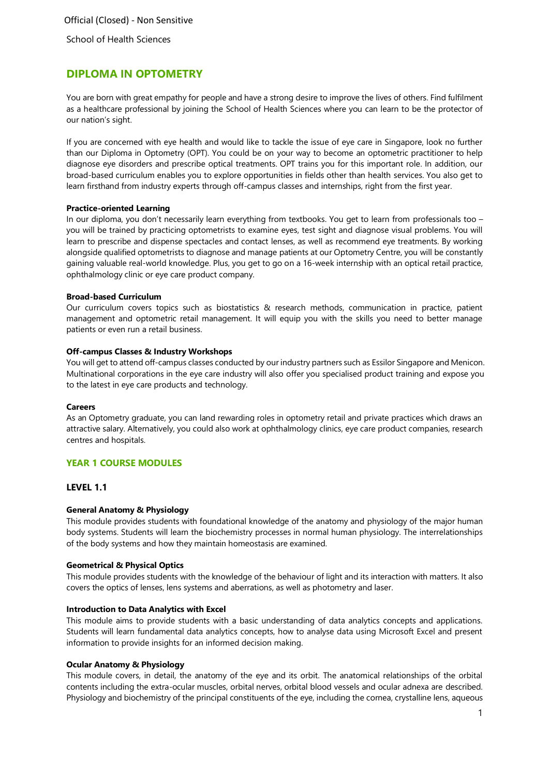School of Health Sciences

# **DIPLOMA IN OPTOMETRY**

You are born with great empathy for people and have a strong desire to improve the lives of others. Find fulfilment as a healthcare professional by joining the School of Health Sciences where you can learn to be the protector of our nation's sight.

If you are concerned with eye health and would like to tackle the issue of eye care in Singapore, look no further than our Diploma in Optometry (OPT). You could be on your way to become an optometric practitioner to help diagnose eye disorders and prescribe optical treatments. OPT trains you for this important role. In addition, our broad-based curriculum enables you to explore opportunities in fields other than health services. You also get to learn firsthand from industry experts through off-campus classes and internships, right from the first year.

#### **Practice-oriented Learning**

In our diploma, you don't necessarily learn everything from textbooks. You get to learn from professionals too – you will be trained by practicing optometrists to examine eyes, test sight and diagnose visual problems. You will learn to prescribe and dispense spectacles and contact lenses, as well as recommend eye treatments. By working alongside qualified optometrists to diagnose and manage patients at our Optometry Centre, you will be constantly gaining valuable real-world knowledge. Plus, you get to go on a 16-week internship with an optical retail practice, ophthalmology clinic or eye care product company.

#### **Broad-based Curriculum**

Our curriculum covers topics such as biostatistics & research methods, communication in practice, patient management and optometric retail management. It will equip you with the skills you need to better manage patients or even run a retail business.

#### **Off-campus Classes & Industry Workshops**

You will get to attend off-campus classes conducted by our industry partners such as Essilor Singapore and Menicon. Multinational corporations in the eye care industry will also offer you specialised product training and expose you to the latest in eye care products and technology.

#### **Careers**

As an Optometry graduate, you can land rewarding roles in optometry retail and private practices which draws an attractive salary. Alternatively, you could also work at ophthalmology clinics, eye care product companies, research centres and hospitals.

#### **YEAR 1 COURSE MODULES**

### **LEVEL 1.1**

#### **General Anatomy & Physiology**

This module provides students with foundational knowledge of the anatomy and physiology of the major human body systems. Students will learn the biochemistry processes in normal human physiology. The interrelationships of the body systems and how they maintain homeostasis are examined.

#### **Geometrical & Physical Optics**

This module provides students with the knowledge of the behaviour of light and its interaction with matters. It also covers the optics of lenses, lens systems and aberrations, as well as photometry and laser.

#### **Introduction to Data Analytics with Excel**

This module aims to provide students with a basic understanding of data analytics concepts and applications. Students will learn fundamental data analytics concepts, how to analyse data using Microsoft Excel and present information to provide insights for an informed decision making.

#### **Ocular Anatomy & Physiology**

This module covers, in detail, the anatomy of the eye and its orbit. The anatomical relationships of the orbital contents including the extra-ocular muscles, orbital nerves, orbital blood vessels and ocular adnexa are described. Physiology and biochemistry of the principal constituents of the eye, including the cornea, crystalline lens, aqueous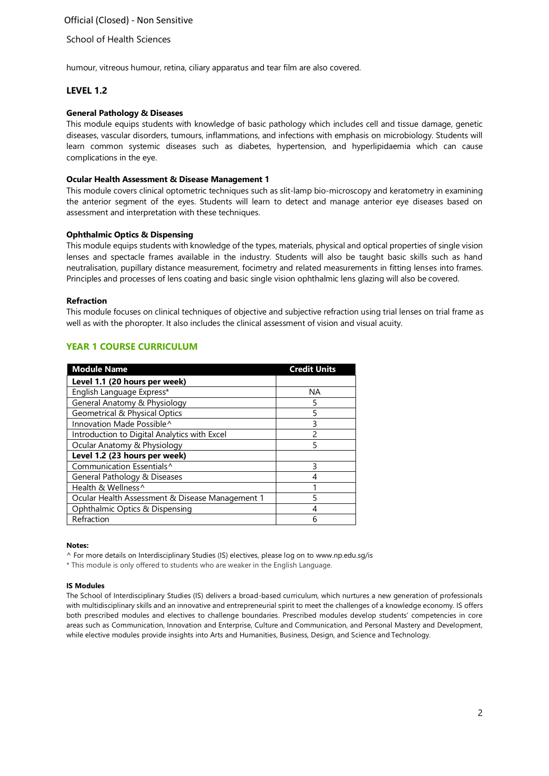## School of Health Sciences

humour, vitreous humour, retina, ciliary apparatus and tear film are also covered.

## **LEVEL 1.2**

#### **General Pathology & Diseases**

This module equips students with knowledge of basic pathology which includes cell and tissue damage, genetic diseases, vascular disorders, tumours, inflammations, and infections with emphasis on microbiology. Students will learn common systemic diseases such as diabetes, hypertension, and hyperlipidaemia which can cause complications in the eye.

#### **Ocular Health Assessment & Disease Management 1**

This module covers clinical optometric techniques such as slit-lamp bio-microscopy and keratometry in examining the anterior segment of the eyes. Students will learn to detect and manage anterior eye diseases based on assessment and interpretation with these techniques.

#### **Ophthalmic Optics & Dispensing**

This module equips students with knowledge of the types, materials, physical and optical properties of single vision lenses and spectacle frames available in the industry. Students will also be taught basic skills such as hand neutralisation, pupillary distance measurement, focimetry and related measurements in fitting lenses into frames. Principles and processes of lens coating and basic single vision ophthalmic lens glazing will also be covered.

#### **Refraction**

This module focuses on clinical techniques of objective and subjective refraction using trial lenses on trial frame as well as with the phoropter. It also includes the clinical assessment of vision and visual acuity.

## **YEAR 1 COURSE CURRICULUM**

| <b>Module Name</b>                              | <b>Credit Units</b> |
|-------------------------------------------------|---------------------|
| Level 1.1 (20 hours per week)                   |                     |
| English Language Express*                       | <b>NA</b>           |
| General Anatomy & Physiology                    | 5                   |
| <b>Geometrical &amp; Physical Optics</b>        | 5                   |
| Innovation Made Possible^                       | 3                   |
| Introduction to Digital Analytics with Excel    | $\mathfrak{p}$      |
| Ocular Anatomy & Physiology                     | 5                   |
| Level 1.2 (23 hours per week)                   |                     |
| Communication Essentials <sup>^</sup>           | 3                   |
| General Pathology & Diseases                    | 4                   |
| Health & Wellness <sup>^</sup>                  | 1                   |
| Ocular Health Assessment & Disease Management 1 | 5                   |
| Ophthalmic Optics & Dispensing                  |                     |
| Refraction                                      | 6                   |

#### **Notes:**

^ For more details on Interdisciplinary Studies (IS) electives, please log on to [www.np.edu.sg/is](http://www.np.edu.sg/is)

\* This module is only offered to students who are weaker in the English Language.

#### **IS Modules**

The School of Interdisciplinary Studies (IS) delivers a broad-based curriculum, which nurtures a new generation of professionals with multidisciplinary skills and an innovative and entrepreneurial spirit to meet the challenges of a knowledge economy. IS offers both prescribed modules and electives to challenge boundaries. Prescribed modules develop students' competencies in core areas such as Communication, Innovation and Enterprise, Culture and Communication, and Personal Mastery and Development, while elective modules provide insights into Arts and Humanities, Business, Design, and Science and Technology.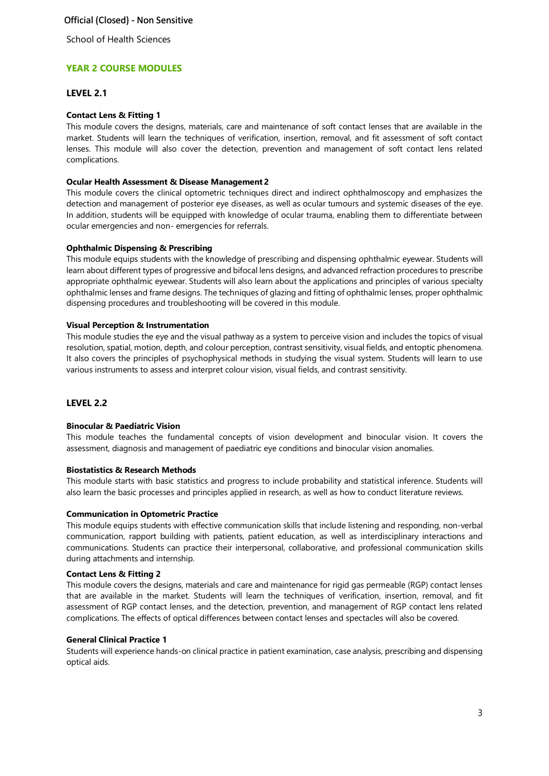School of Health Sciences

## **YEAR 2 COURSE MODULES**

### **LEVEL 2.1**

### **Contact Lens & Fitting 1**

This module covers the designs, materials, care and maintenance of soft contact lenses that are available in the market. Students will learn the techniques of verification, insertion, removal, and fit assessment of soft contact lenses. This module will also cover the detection, prevention and management of soft contact lens related complications.

#### **Ocular Health Assessment & Disease Management 2**

This module covers the clinical optometric techniques direct and indirect ophthalmoscopy and emphasizes the detection and management of posterior eye diseases, as well as ocular tumours and systemic diseases of the eye. In addition, students will be equipped with knowledge of ocular trauma, enabling them to differentiate between ocular emergencies and non- emergencies for referrals.

#### **Ophthalmic Dispensing & Prescribing**

This module equips students with the knowledge of prescribing and dispensing ophthalmic eyewear. Students will learn about different types of progressive and bifocal lens designs, and advanced refraction procedures to prescribe appropriate ophthalmic eyewear. Students will also learn about the applications and principles of various specialty ophthalmic lenses and frame designs. The techniques of glazing and fitting of ophthalmic lenses, proper ophthalmic dispensing procedures and troubleshooting will be covered in this module.

#### **Visual Perception & Instrumentation**

This module studies the eye and the visual pathway as a system to perceive vision and includes the topics of visual resolution, spatial, motion, depth, and colour perception, contrast sensitivity, visual fields, and entoptic phenomena. It also covers the principles of psychophysical methods in studying the visual system. Students will learn to use various instruments to assess and interpret colour vision, visual fields, and contrast sensitivity.

### **LEVEL 2.2**

### **Binocular & Paediatric Vision**

This module teaches the fundamental concepts of vision development and binocular vision. It covers the assessment, diagnosis and management of paediatric eye conditions and binocular vision anomalies.

#### **Biostatistics & Research Methods**

This module starts with basic statistics and progress to include probability and statistical inference. Students will also learn the basic processes and principles applied in research, as well as how to conduct literature reviews.

#### **Communication in Optometric Practice**

This module equips students with effective communication skills that include listening and responding, non-verbal communication, rapport building with patients, patient education, as well as interdisciplinary interactions and communications. Students can practice their interpersonal, collaborative, and professional communication skills during attachments and internship.

#### **Contact Lens & Fitting 2**

This module covers the designs, materials and care and maintenance for rigid gas permeable (RGP) contact lenses that are available in the market. Students will learn the techniques of verification, insertion, removal, and fit assessment of RGP contact lenses, and the detection, prevention, and management of RGP contact lens related complications. The effects of optical differences between contact lenses and spectacles will also be covered.

#### **General Clinical Practice 1**

Students will experience hands-on clinical practice in patient examination, case analysis, prescribing and dispensing optical aids.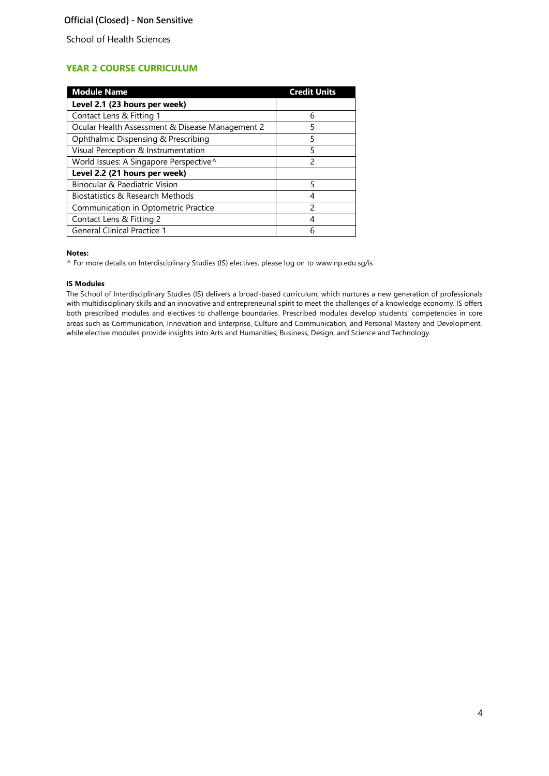School of Health Sciences

# **YEAR 2 COURSE CURRICULUM**

| <b>Module Name</b>                              | <b>Credit Units</b> |
|-------------------------------------------------|---------------------|
| Level 2.1 (23 hours per week)                   |                     |
| Contact Lens & Fitting 1                        | 6                   |
| Ocular Health Assessment & Disease Management 2 | 5                   |
| Ophthalmic Dispensing & Prescribing             | 5                   |
| Visual Perception & Instrumentation             | 5                   |
| World Issues: A Singapore Perspective^          | $\mathcal{P}$       |
| Level 2.2 (21 hours per week)                   |                     |
| Binocular & Paediatric Vision                   | 5                   |
| Biostatistics & Research Methods                | 4                   |
| Communication in Optometric Practice            | $\mathcal{P}$       |
| Contact Lens & Fitting 2                        | 4                   |
| <b>General Clinical Practice 1</b>              | 6                   |

#### **Notes:**

^ For more details on Interdisciplinary Studies (IS) electives, please log on to [www.np.edu.sg/is](http://www.np.edu.sg/is)

#### **IS Modules**

The School of Interdisciplinary Studies (IS) delivers a broad-based curriculum, which nurtures a new generation of professionals with multidisciplinary skills and an innovative and entrepreneurial spirit to meet the challenges of a knowledge economy. IS offers both prescribed modules and electives to challenge boundaries. Prescribed modules develop students' competencies in core areas such as Communication, Innovation and Enterprise, Culture and Communication, and Personal Mastery and Development, while elective modules provide insights into Arts and Humanities, Business, Design, and Science and Technology.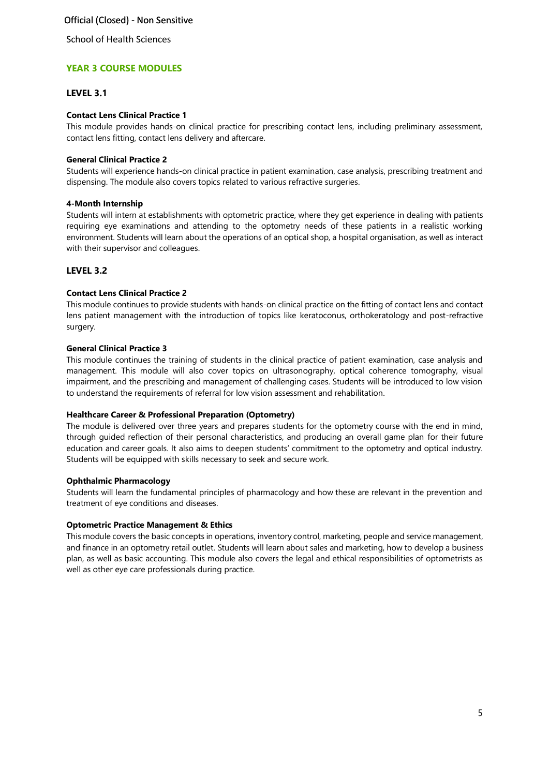School of Health Sciences

## **YEAR 3 COURSE MODULES**

### **LEVEL 3.1**

### **Contact Lens Clinical Practice 1**

This module provides hands-on clinical practice for prescribing contact lens, including preliminary assessment, contact lens fitting, contact lens delivery and aftercare.

### **General Clinical Practice 2**

Students will experience hands-on clinical practice in patient examination, case analysis, prescribing treatment and dispensing. The module also covers topics related to various refractive surgeries.

### **4-Month Internship**

Students will intern at establishments with optometric practice, where they get experience in dealing with patients requiring eye examinations and attending to the optometry needs of these patients in a realistic working environment. Students will learn about the operations of an optical shop, a hospital organisation, as well as interact with their supervisor and colleagues.

## **LEVEL 3.2**

### **Contact Lens Clinical Practice 2**

This module continues to provide students with hands-on clinical practice on the fitting of contact lens and contact lens patient management with the introduction of topics like keratoconus, orthokeratology and post-refractive surgery.

### **General Clinical Practice 3**

This module continues the training of students in the clinical practice of patient examination, case analysis and management. This module will also cover topics on ultrasonography, optical coherence tomography, visual impairment, and the prescribing and management of challenging cases. Students will be introduced to low vision to understand the requirements of referral for low vision assessment and rehabilitation.

### **Healthcare Career & Professional Preparation (Optometry)**

The module is delivered over three years and prepares students for the optometry course with the end in mind, through guided reflection of their personal characteristics, and producing an overall game plan for their future education and career goals. It also aims to deepen students' commitment to the optometry and optical industry. Students will be equipped with skills necessary to seek and secure work.

### **Ophthalmic Pharmacology**

Students will learn the fundamental principles of pharmacology and how these are relevant in the prevention and treatment of eye conditions and diseases.

### **Optometric Practice Management & Ethics**

This module covers the basic concepts in operations, inventory control, marketing, people and service management, and finance in an optometry retail outlet. Students will learn about sales and marketing, how to develop a business plan, as well as basic accounting. This module also covers the legal and ethical responsibilities of optometrists as well as other eye care professionals during practice.